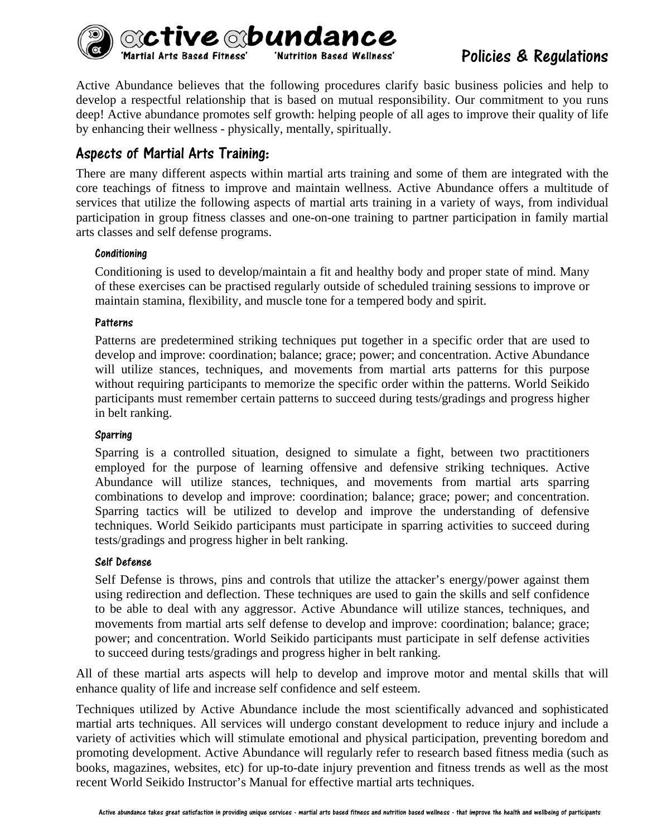

Policies & Regulations

Active Abundance believes that the following procedures clarify basic business policies and help to develop a respectful relationship that is based on mutual responsibility. Our commitment to you runs deep! Active abundance promotes self growth: helping people of all ages to improve their quality of life by enhancing their wellness - physically, mentally, spiritually.

# Aspects of Martial Arts Training:

There are many different aspects within martial arts training and some of them are integrated with the core teachings of fitness to improve and maintain wellness. Active Abundance offers a multitude of services that utilize the following aspects of martial arts training in a variety of ways, from individual participation in group fitness classes and one-on-one training to partner participation in family martial arts classes and self defense programs.

#### Conditioning

Conditioning is used to develop/maintain a fit and healthy body and proper state of mind. Many of these exercises can be practised regularly outside of scheduled training sessions to improve or maintain stamina, flexibility, and muscle tone for a tempered body and spirit.

#### **Patterns**

Patterns are predetermined striking techniques put together in a specific order that are used to develop and improve: coordination; balance; grace; power; and concentration. Active Abundance will utilize stances, techniques, and movements from martial arts patterns for this purpose without requiring participants to memorize the specific order within the patterns. World Seikido participants must remember certain patterns to succeed during tests/gradings and progress higher in belt ranking.

#### Sparring

Sparring is a controlled situation, designed to simulate a fight, between two practitioners employed for the purpose of learning offensive and defensive striking techniques. Active Abundance will utilize stances, techniques, and movements from martial arts sparring combinations to develop and improve: coordination; balance; grace; power; and concentration. Sparring tactics will be utilized to develop and improve the understanding of defensive techniques. World Seikido participants must participate in sparring activities to succeed during tests/gradings and progress higher in belt ranking.

#### Self Defense

Self Defense is throws, pins and controls that utilize the attacker's energy/power against them using redirection and deflection. These techniques are used to gain the skills and self confidence to be able to deal with any aggressor. Active Abundance will utilize stances, techniques, and movements from martial arts self defense to develop and improve: coordination; balance; grace; power; and concentration. World Seikido participants must participate in self defense activities to succeed during tests/gradings and progress higher in belt ranking.

All of these martial arts aspects will help to develop and improve motor and mental skills that will enhance quality of life and increase self confidence and self esteem.

Techniques utilized by Active Abundance include the most scientifically advanced and sophisticated martial arts techniques. All services will undergo constant development to reduce injury and include a variety of activities which will stimulate emotional and physical participation, preventing boredom and promoting development. Active Abundance will regularly refer to research based fitness media (such as books, magazines, websites, etc) for up-to-date injury prevention and fitness trends as well as the most recent World Seikido Instructor's Manual for effective martial arts techniques.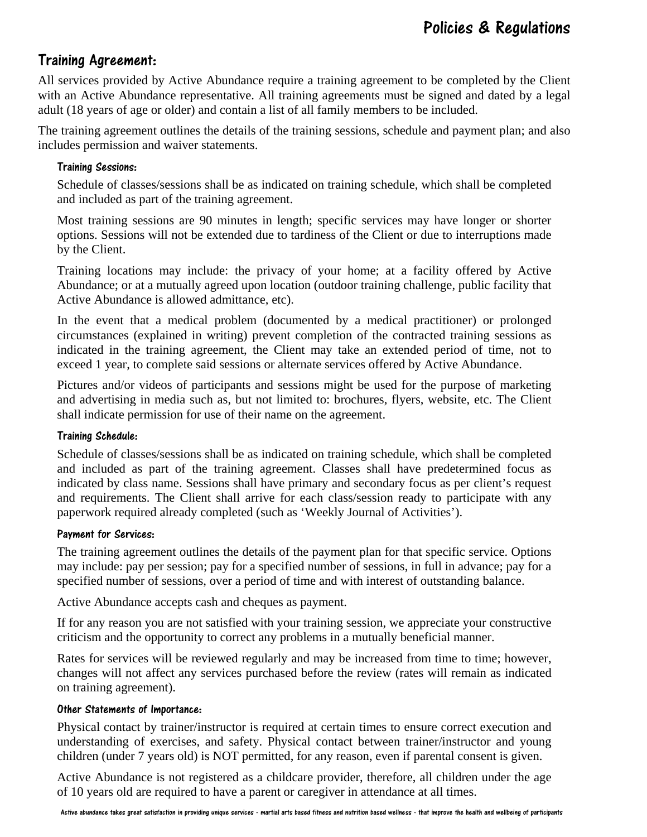# Training Agreement:

All services provided by Active Abundance require a training agreement to be completed by the Client with an Active Abundance representative. All training agreements must be signed and dated by a legal adult (18 years of age or older) and contain a list of all family members to be included.

The training agreement outlines the details of the training sessions, schedule and payment plan; and also includes permission and waiver statements.

#### Training Sessions:

Schedule of classes/sessions shall be as indicated on training schedule, which shall be completed and included as part of the training agreement.

Most training sessions are 90 minutes in length; specific services may have longer or shorter options. Sessions will not be extended due to tardiness of the Client or due to interruptions made by the Client.

Training locations may include: the privacy of your home; at a facility offered by Active Abundance; or at a mutually agreed upon location (outdoor training challenge, public facility that Active Abundance is allowed admittance, etc).

In the event that a medical problem (documented by a medical practitioner) or prolonged circumstances (explained in writing) prevent completion of the contracted training sessions as indicated in the training agreement, the Client may take an extended period of time, not to exceed 1 year, to complete said sessions or alternate services offered by Active Abundance.

Pictures and/or videos of participants and sessions might be used for the purpose of marketing and advertising in media such as, but not limited to: brochures, flyers, website, etc. The Client shall indicate permission for use of their name on the agreement.

#### Training Schedule:

Schedule of classes/sessions shall be as indicated on training schedule, which shall be completed and included as part of the training agreement. Classes shall have predetermined focus as indicated by class name. Sessions shall have primary and secondary focus as per client's request and requirements. The Client shall arrive for each class/session ready to participate with any paperwork required already completed (such as 'Weekly Journal of Activities').

#### Payment for Services:

The training agreement outlines the details of the payment plan for that specific service. Options may include: pay per session; pay for a specified number of sessions, in full in advance; pay for a specified number of sessions, over a period of time and with interest of outstanding balance.

Active Abundance accepts cash and cheques as payment.

If for any reason you are not satisfied with your training session, we appreciate your constructive criticism and the opportunity to correct any problems in a mutually beneficial manner.

Rates for services will be reviewed regularly and may be increased from time to time; however, changes will not affect any services purchased before the review (rates will remain as indicated on training agreement).

#### Other Statements of Importance:

Physical contact by trainer/instructor is required at certain times to ensure correct execution and understanding of exercises, and safety. Physical contact between trainer/instructor and young children (under 7 years old) is NOT permitted, for any reason, even if parental consent is given.

Active Abundance is not registered as a childcare provider, therefore, all children under the age of 10 years old are required to have a parent or caregiver in attendance at all times.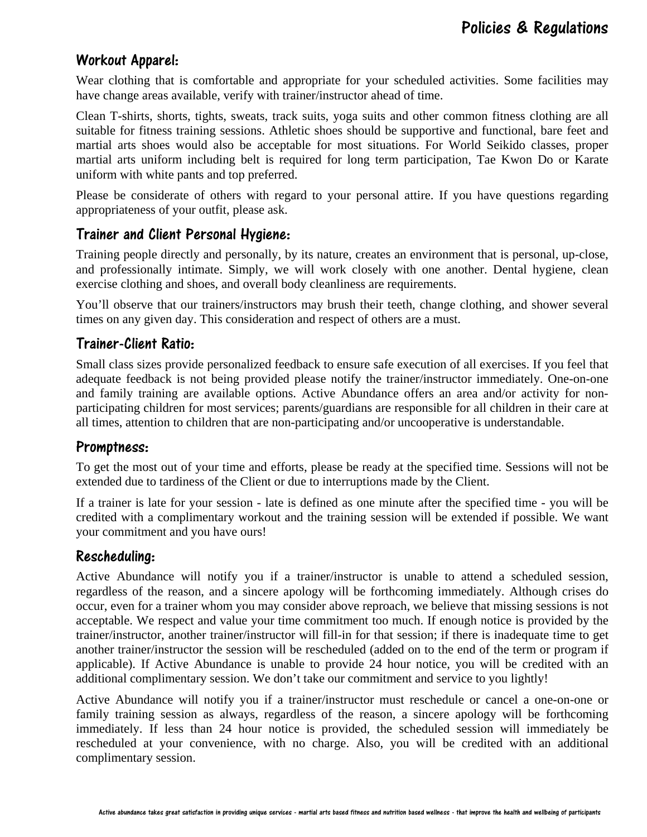# Workout Apparel:

Wear clothing that is comfortable and appropriate for your scheduled activities. Some facilities may have change areas available, verify with trainer/instructor ahead of time.

Clean T-shirts, shorts, tights, sweats, track suits, yoga suits and other common fitness clothing are all suitable for fitness training sessions. Athletic shoes should be supportive and functional, bare feet and martial arts shoes would also be acceptable for most situations. For World Seikido classes, proper martial arts uniform including belt is required for long term participation, Tae Kwon Do or Karate uniform with white pants and top preferred.

Please be considerate of others with regard to your personal attire. If you have questions regarding appropriateness of your outfit, please ask.

### Trainer and Client Personal Hygiene:

Training people directly and personally, by its nature, creates an environment that is personal, up-close, and professionally intimate. Simply, we will work closely with one another. Dental hygiene, clean exercise clothing and shoes, and overall body cleanliness are requirements.

You'll observe that our trainers/instructors may brush their teeth, change clothing, and shower several times on any given day. This consideration and respect of others are a must.

# Trainer-Client Ratio:

Small class sizes provide personalized feedback to ensure safe execution of all exercises. If you feel that adequate feedback is not being provided please notify the trainer/instructor immediately. One-on-one and family training are available options. Active Abundance offers an area and/or activity for nonparticipating children for most services; parents/guardians are responsible for all children in their care at all times, attention to children that are non-participating and/or uncooperative is understandable.

### Promptness:

To get the most out of your time and efforts, please be ready at the specified time. Sessions will not be extended due to tardiness of the Client or due to interruptions made by the Client.

If a trainer is late for your session - late is defined as one minute after the specified time - you will be credited with a complimentary workout and the training session will be extended if possible. We want your commitment and you have ours!

### Rescheduling:

Active Abundance will notify you if a trainer/instructor is unable to attend a scheduled session, regardless of the reason, and a sincere apology will be forthcoming immediately. Although crises do occur, even for a trainer whom you may consider above reproach, we believe that missing sessions is not acceptable. We respect and value your time commitment too much. If enough notice is provided by the trainer/instructor, another trainer/instructor will fill-in for that session; if there is inadequate time to get another trainer/instructor the session will be rescheduled (added on to the end of the term or program if applicable). If Active Abundance is unable to provide 24 hour notice, you will be credited with an additional complimentary session. We don't take our commitment and service to you lightly!

Active Abundance will notify you if a trainer/instructor must reschedule or cancel a one-on-one or family training session as always, regardless of the reason, a sincere apology will be forthcoming immediately. If less than 24 hour notice is provided, the scheduled session will immediately be rescheduled at your convenience, with no charge. Also, you will be credited with an additional complimentary session.